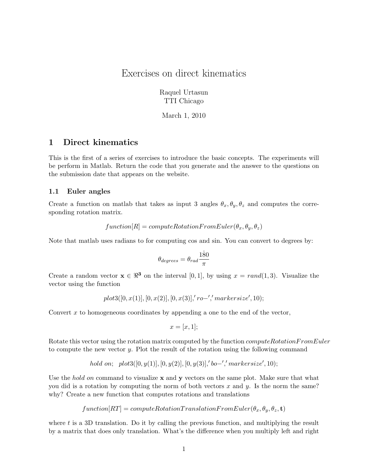# Exercises on direct kinematics

Raquel Urtasun TTI Chicago

March 1, 2010

# 1 Direct kinematics

This is the first of a series of exercises to introduce the basic concepts. The experiments will be perform in Matlab. Return the code that you generate and the answer to the questions on the submission date that appears on the website.

#### 1.1 Euler angles

Create a function on matlab that takes as input 3 angles  $\theta_x, \theta_y, \theta_z$  and computes the corresponding rotation matrix.

$$
function[R] = computeRotationFromEuler(\theta_x, \theta_y, \theta_z)
$$

Note that matlab uses radians to for computing cos and sin. You can convert to degrees by:

$$
\theta_{degrees} = \theta_{rad} \frac{180}{\pi}
$$

Create a random vector  $\mathbf{x} \in \mathbb{R}^3$  on the interval [0, 1], by using  $x = rand(1, 3)$ . Visualize the vector using the function

$$
plot3([0,x(1)],[0,x(2)],[0,x(3)],'ro-',' marker size',10);\\
$$

Convert  $x$  to homogeneous coordinates by appending a one to the end of the vector,

$$
x = [x, 1];
$$

Rotate this vector using the rotation matrix computed by the function *computeRotationFromEuler* to compute the new vector y. Plot the result of the rotation using the following command

hold on; 
$$
plot3([0, y(1)], [0, y(2)], [0, y(3)],' bo-', markersize', 10);
$$

Use the *hold on* command to visualize  $x$  and  $y$  vectors on the same plot. Make sure that what you did is a rotation by computing the norm of both vectors  $x$  and  $y$ . Is the norm the same? why? Create a new function that computes rotations and translations

$$
function [RT] = computeRotation TranslationFrom Euler(\theta_x, \theta_y, \theta_z, \mathbf{t})
$$

where  $t$  is a 3D translation. Do it by calling the previous function, and multiplying the result by a matrix that does only translation. What's the difference when you multiply left and right